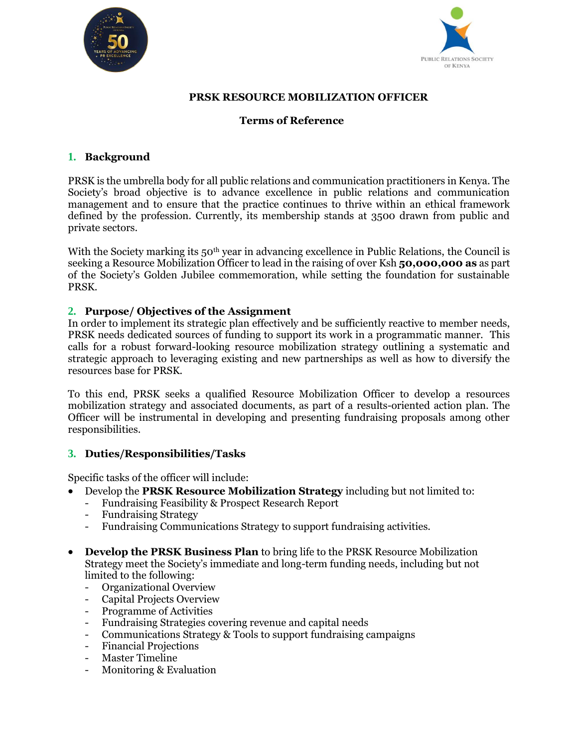



## **PRSK RESOURCE MOBILIZATION OFFICER**

## **Terms of Reference**

# **1. Background**

PRSK is the umbrella body for all public relations and communication practitioners in Kenya. The Society's broad objective is to advance excellence in public relations and communication management and to ensure that the practice continues to thrive within an ethical framework defined by the profession. Currently, its membership stands at 3500 drawn from public and private sectors.

With the Society marking its  $50<sup>th</sup>$  year in advancing excellence in Public Relations, the Council is seeking a Resource Mobilization Officer to lead in the raising of over Ksh **50,000,000 as** as part of the Society's Golden Jubilee commemoration, while setting the foundation for sustainable PRSK.

## **2. Purpose/ Objectives of the Assignment**

In order to implement its strategic plan effectively and be sufficiently reactive to member needs, PRSK needs dedicated sources of funding to support its work in a programmatic manner. This calls for a robust forward-looking resource mobilization strategy outlining a systematic and strategic approach to leveraging existing and new partnerships as well as how to diversify the resources base for PRSK.

To this end, PRSK seeks a qualified Resource Mobilization Officer to develop a resources mobilization strategy and associated documents, as part of a results-oriented action plan. The Officer will be instrumental in developing and presenting fundraising proposals among other responsibilities.

## **3. Duties/Responsibilities/Tasks**

Specific tasks of the officer will include:

- Develop the **PRSK Resource Mobilization Strategy** including but not limited to:
	- Fundraising Feasibility & Prospect Research Report
	- Fundraising Strategy
	- Fundraising Communications Strategy to support fundraising activities.
- **Develop the PRSK Business Plan** to bring life to the PRSK Resource Mobilization Strategy meet the Society's immediate and long-term funding needs, including but not limited to the following:
	- Organizational Overview
	- Capital Projects Overview
	- Programme of Activities
	- Fundraising Strategies covering revenue and capital needs
	- Communications Strategy & Tools to support fundraising campaigns
	- Financial Projections
	- Master Timeline
	- Monitoring & Evaluation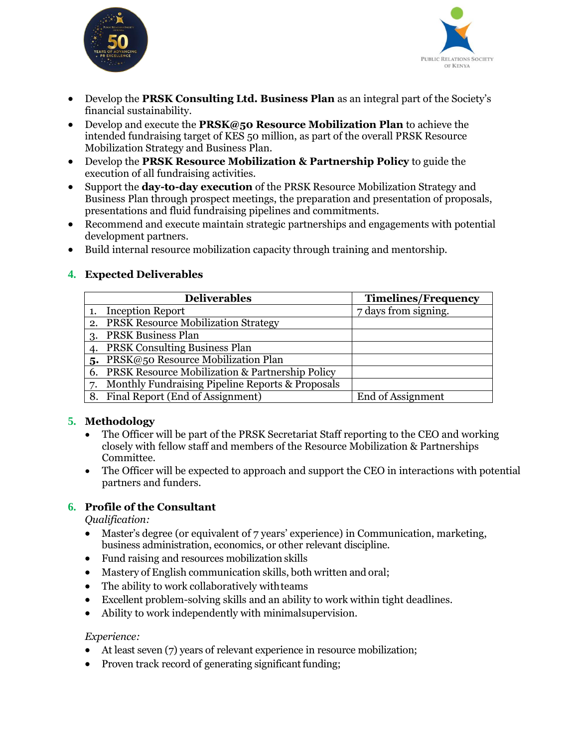



- Develop the **PRSK Consulting Ltd. Business Plan** as an integral part of the Society's financial sustainability.
- Develop and execute the **PRSK@50 Resource Mobilization Plan** to achieve the intended fundraising target of KES 50 million, as part of the overall PRSK Resource Mobilization Strategy and Business Plan.
- Develop the **PRSK Resource Mobilization & Partnership Policy** to guide the execution of all fundraising activities.
- Support the **day-to-day execution** of the PRSK Resource Mobilization Strategy and Business Plan through prospect meetings, the preparation and presentation of proposals, presentations and fluid fundraising pipelines and commitments.
- Recommend and execute maintain strategic partnerships and engagements with potential development partners.
- Build internal resource mobilization capacity through training and mentorship.

## **4. Expected Deliverables**

|    | <b>Deliverables</b>                                        | <b>Timelines/Frequency</b> |
|----|------------------------------------------------------------|----------------------------|
|    | <b>Inception Report</b>                                    | 7 days from signing.       |
| 2. | <b>PRSK Resource Mobilization Strategy</b>                 |                            |
| 3. | <b>PRSK Business Plan</b>                                  |                            |
|    | <b>PRSK Consulting Business Plan</b>                       |                            |
| 5. | PRSK@50 Resource Mobilization Plan                         |                            |
| 6. | <b>PRSK Resource Mobilization &amp; Partnership Policy</b> |                            |
| 7. | Monthly Fundraising Pipeline Reports & Proposals           |                            |
|    | 8. Final Report (End of Assignment)                        | End of Assignment          |

## **5. Methodology**

- The Officer will be part of the PRSK Secretariat Staff reporting to the CEO and working closely with fellow staff and members of the Resource Mobilization & Partnerships Committee.
- The Officer will be expected to approach and support the CEO in interactions with potential partners and funders.

## **6. Profile of the Consultant**

*Qualification:*

- Master's degree (or equivalent of 7 years' experience) in Communication, marketing, business administration, economics, or other relevant discipline.
- Fund raising and resources mobilization skills
- Mastery of English communication skills, both written and oral;
- The ability to work collaboratively withteams
- Excellent problem-solving skills and an ability to work within tight deadlines.
- Ability to work independently with minimalsupervision.

#### *Experience:*

- At least seven (7) years of relevant experience in resource mobilization;
- Proven track record of generating significant funding;